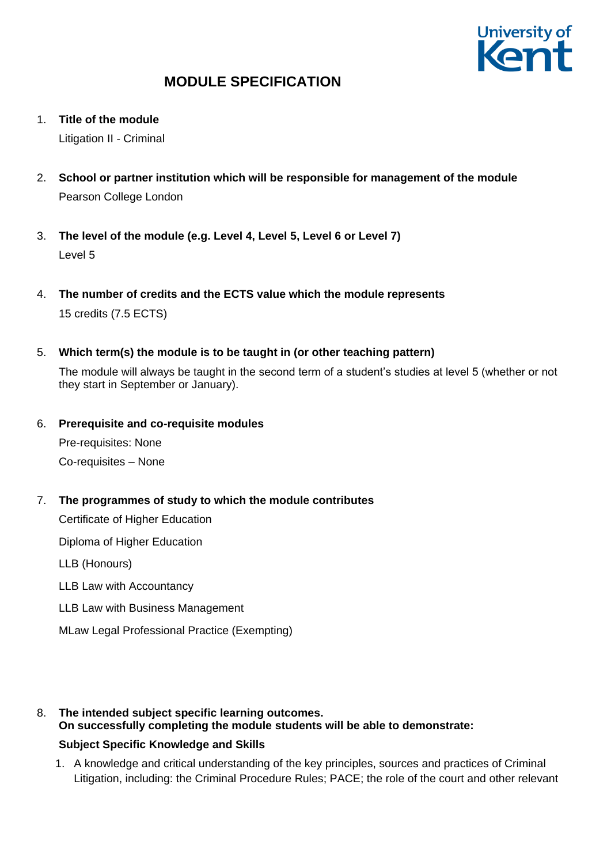

1. **Title of the module**

Litigation II - Criminal

- 2. **School or partner institution which will be responsible for management of the module** Pearson College London
- 3. **The level of the module (e.g. Level 4, Level 5, Level 6 or Level 7)** Level 5
- 4. **The number of credits and the ECTS value which the module represents**  15 credits (7.5 ECTS)
- 5. **Which term(s) the module is to be taught in (or other teaching pattern)**

The module will always be taught in the second term of a student's studies at level 5 (whether or not they start in September or January).

6. **Prerequisite and co-requisite modules**

Pre-requisites: None Co-requisites – None

7. **The programmes of study to which the module contributes**

Certificate of Higher Education

Diploma of Higher Education

LLB (Honours)

LLB Law with Accountancy

LLB Law with Business Management

MLaw Legal Professional Practice (Exempting)

8. **The intended subject specific learning outcomes. On successfully completing the module students will be able to demonstrate:**

## **Subject Specific Knowledge and Skills**

1. A knowledge and critical understanding of the key principles, sources and practices of Criminal Litigation, including: the Criminal Procedure Rules; PACE; the role of the court and other relevant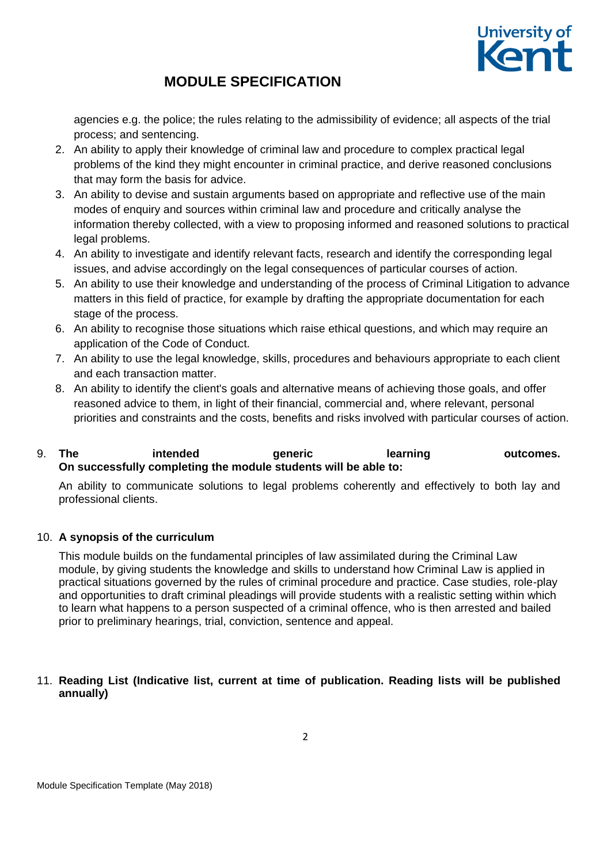

agencies e.g. the police; the rules relating to the admissibility of evidence; all aspects of the trial process; and sentencing.

- 2. An ability to apply their knowledge of criminal law and procedure to complex practical legal problems of the kind they might encounter in criminal practice, and derive reasoned conclusions that may form the basis for advice.
- 3. An ability to devise and sustain arguments based on appropriate and reflective use of the main modes of enquiry and sources within criminal law and procedure and critically analyse the information thereby collected, with a view to proposing informed and reasoned solutions to practical legal problems.
- 4. An ability to investigate and identify relevant facts, research and identify the corresponding legal issues, and advise accordingly on the legal consequences of particular courses of action.
- 5. An ability to use their knowledge and understanding of the process of Criminal Litigation to advance matters in this field of practice, for example by drafting the appropriate documentation for each stage of the process.
- 6. An ability to recognise those situations which raise ethical questions, and which may require an application of the Code of Conduct.
- 7. An ability to use the legal knowledge, skills, procedures and behaviours appropriate to each client and each transaction matter.
- 8. An ability to identify the client's goals and alternative means of achieving those goals, and offer reasoned advice to them, in light of their financial, commercial and, where relevant, personal priorities and constraints and the costs, benefits and risks involved with particular courses of action.

### 9. **The intended generic learning outcomes. On successfully completing the module students will be able to:**

An ability to communicate solutions to legal problems coherently and effectively to both lay and professional clients.

## 10. **A synopsis of the curriculum**

This module builds on the fundamental principles of law assimilated during the Criminal Law module, by giving students the knowledge and skills to understand how Criminal Law is applied in practical situations governed by the rules of criminal procedure and practice. Case studies, role-play and opportunities to draft criminal pleadings will provide students with a realistic setting within which to learn what happens to a person suspected of a criminal offence, who is then arrested and bailed prior to preliminary hearings, trial, conviction, sentence and appeal.

### 11. **Reading List (Indicative list, current at time of publication. Reading lists will be published annually)**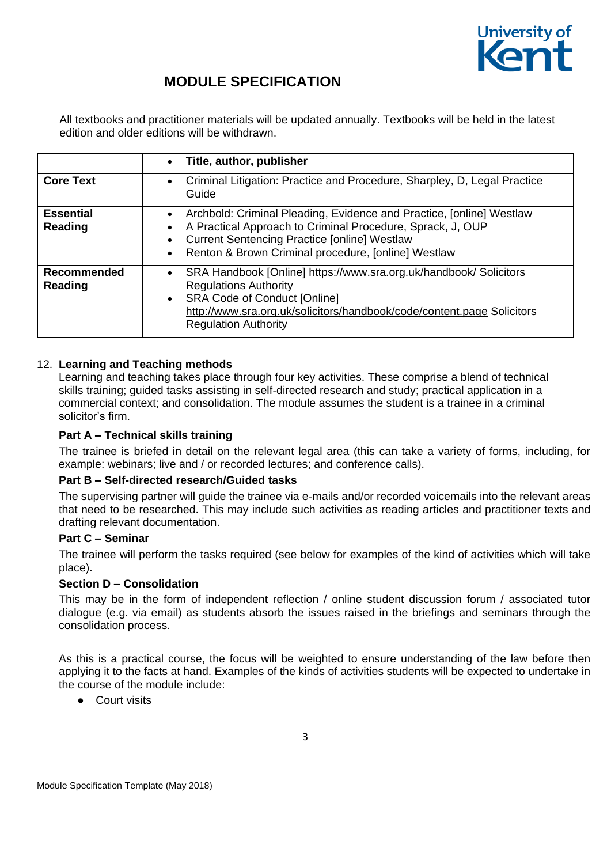

All textbooks and practitioner materials will be updated annually. Textbooks will be held in the latest edition and older editions will be withdrawn.

|                               | Title, author, publisher<br>$\bullet$                                                                                                                                                                                                                                                                |
|-------------------------------|------------------------------------------------------------------------------------------------------------------------------------------------------------------------------------------------------------------------------------------------------------------------------------------------------|
| <b>Core Text</b>              | Criminal Litigation: Practice and Procedure, Sharpley, D, Legal Practice<br>$\bullet$<br>Guide                                                                                                                                                                                                       |
| <b>Essential</b><br>Reading   | Archbold: Criminal Pleading, Evidence and Practice, [online] Westlaw<br>$\bullet$<br>A Practical Approach to Criminal Procedure, Sprack, J, OUP<br>$\bullet$<br><b>Current Sentencing Practice [online] Westlaw</b><br>$\bullet$<br>Renton & Brown Criminal procedure, [online] Westlaw<br>$\bullet$ |
| <b>Recommended</b><br>Reading | SRA Handbook [Online] https://www.sra.org.uk/handbook/ Solicitors<br>$\bullet$<br><b>Regulations Authority</b><br><b>SRA Code of Conduct [Online]</b><br>$\bullet$<br>http://www.sra.org.uk/solicitors/handbook/code/content.page Solicitors<br><b>Regulation Authority</b>                          |

### 12. **Learning and Teaching methods**

Learning and teaching takes place through four key activities. These comprise a blend of technical skills training; guided tasks assisting in self-directed research and study; practical application in a commercial context; and consolidation. The module assumes the student is a trainee in a criminal solicitor's firm.

### **Part A – Technical skills training**

The trainee is briefed in detail on the relevant legal area (this can take a variety of forms, including, for example: webinars; live and / or recorded lectures; and conference calls).

### **Part B – Self-directed research/Guided tasks**

The supervising partner will guide the trainee via e-mails and/or recorded voicemails into the relevant areas that need to be researched. This may include such activities as reading articles and practitioner texts and drafting relevant documentation.

### **Part C – Seminar**

The trainee will perform the tasks required (see below for examples of the kind of activities which will take place).

### **Section D – Consolidation**

This may be in the form of independent reflection / online student discussion forum / associated tutor dialogue (e.g. via email) as students absorb the issues raised in the briefings and seminars through the consolidation process.

As this is a practical course, the focus will be weighted to ensure understanding of the law before then applying it to the facts at hand. Examples of the kinds of activities students will be expected to undertake in the course of the module include:

Court visits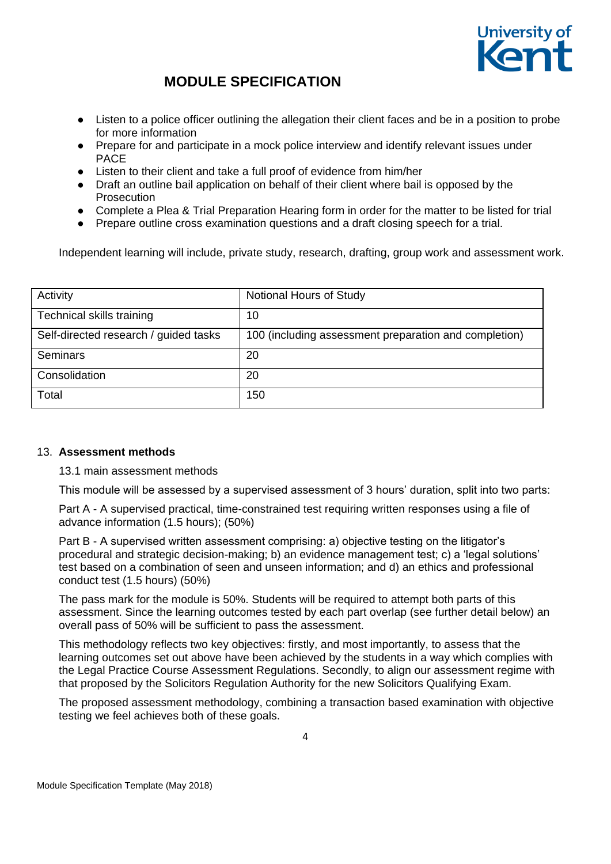

- Listen to a police officer outlining the allegation their client faces and be in a position to probe for more information
- Prepare for and participate in a mock police interview and identify relevant issues under PACE
- Listen to their client and take a full proof of evidence from him/her
- Draft an outline bail application on behalf of their client where bail is opposed by the Prosecution
- Complete a Plea & Trial Preparation Hearing form in order for the matter to be listed for trial
- Prepare outline cross examination questions and a draft closing speech for a trial.

Independent learning will include, private study, research, drafting, group work and assessment work.

| Activity                              | Notional Hours of Study                               |
|---------------------------------------|-------------------------------------------------------|
| Technical skills training             | 10                                                    |
| Self-directed research / guided tasks | 100 (including assessment preparation and completion) |
| Seminars                              | 20                                                    |
| Consolidation                         | 20                                                    |
| Total                                 | 150                                                   |

#### 13. **Assessment methods**

13.1 main assessment methods

This module will be assessed by a supervised assessment of 3 hours' duration, split into two parts:

Part A - A supervised practical, time-constrained test requiring written responses using a file of advance information (1.5 hours); (50%)

Part B - A supervised written assessment comprising: a) objective testing on the litigator's procedural and strategic decision-making; b) an evidence management test; c) a 'legal solutions' test based on a combination of seen and unseen information; and d) an ethics and professional conduct test (1.5 hours) (50%)

The pass mark for the module is 50%. Students will be required to attempt both parts of this assessment. Since the learning outcomes tested by each part overlap (see further detail below) an overall pass of 50% will be sufficient to pass the assessment.

This methodology reflects two key objectives: firstly, and most importantly, to assess that the learning outcomes set out above have been achieved by the students in a way which complies with the Legal Practice Course Assessment Regulations. Secondly, to align our assessment regime with that proposed by the Solicitors Regulation Authority for the new Solicitors Qualifying Exam.

The proposed assessment methodology, combining a transaction based examination with objective testing we feel achieves both of these goals.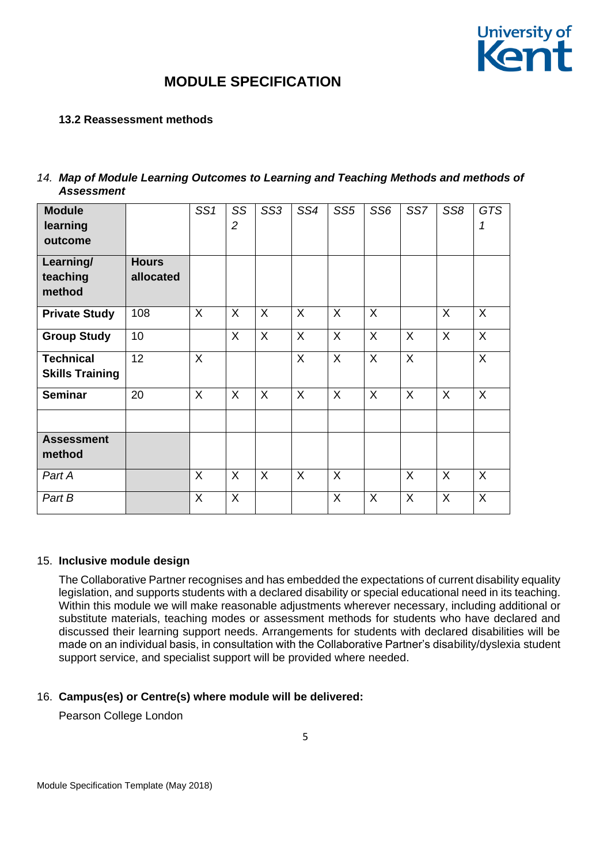

### **13.2 Reassessment methods**

| 14. Map of Module Learning Outcomes to Learning and Teaching Methods and methods of |
|-------------------------------------------------------------------------------------|
| <b>Assessment</b>                                                                   |

| <b>Module</b><br>learning<br>outcome       | <b>Hours</b> | SS1     | SS<br>$\overline{2}$ | SS <sub>3</sub> | SS4          | SS <sub>5</sub> | SS <sub>6</sub> | SS7      | SS <sub>8</sub> | <b>GTS</b><br>1 |
|--------------------------------------------|--------------|---------|----------------------|-----------------|--------------|-----------------|-----------------|----------|-----------------|-----------------|
| Learning/<br>teaching<br>method            | allocated    |         |                      |                 |              |                 |                 |          |                 |                 |
| <b>Private Study</b>                       | 108          | X       | X                    | X               | X            | $\sf X$         | X               |          | X               | X               |
| <b>Group Study</b>                         | 10           |         | $\sf X$              | $\sf X$         | X            | $\sf X$         | $\mathsf{X}$    | $\sf X$  | X               | $\sf X$         |
| <b>Technical</b><br><b>Skills Training</b> | 12           | $\sf X$ |                      |                 | $\mathsf{X}$ | $\mathsf{X}$    | $\mathsf{X}$    | X        |                 | X               |
| <b>Seminar</b>                             | 20           | X       | X                    | $\sf X$         | X            | X               | X               | $\times$ | X               | X               |
| <b>Assessment</b><br>method                |              |         |                      |                 |              |                 |                 |          |                 |                 |
| Part A                                     |              | X       | X                    | $\sf X$         | X            | $\sf X$         |                 | X        | X               | X               |
| Part B                                     |              | X       | X                    |                 |              | X               | X               | X        | X               | X               |

#### 15. **Inclusive module design**

The Collaborative Partner recognises and has embedded the expectations of current disability equality legislation, and supports students with a declared disability or special educational need in its teaching. Within this module we will make reasonable adjustments wherever necessary, including additional or substitute materials, teaching modes or assessment methods for students who have declared and discussed their learning support needs. Arrangements for students with declared disabilities will be made on an individual basis, in consultation with the Collaborative Partner's disability/dyslexia student support service, and specialist support will be provided where needed.

### 16. **Campus(es) or Centre(s) where module will be delivered:**

Pearson College London